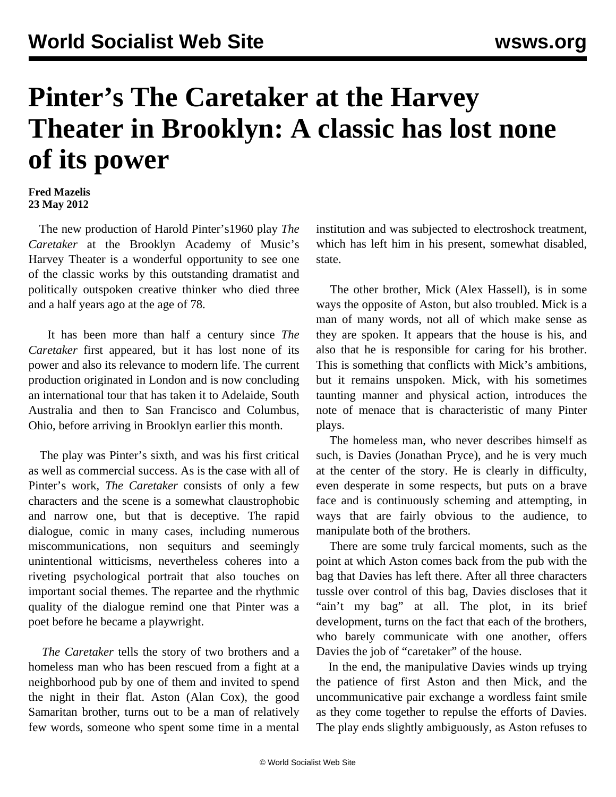## **Pinter's The Caretaker at the Harvey Theater in Brooklyn: A classic has lost none of its power**

## **Fred Mazelis 23 May 2012**

 The new production of Harold Pinter's1960 play *The Caretaker* at the Brooklyn Academy of Music's Harvey Theater is a wonderful opportunity to see one of the classic works by this outstanding dramatist and politically outspoken creative thinker who died three and a half years ago at the age of 78.

 It has been more than half a century since *The Caretaker* first appeared, but it has lost none of its power and also its relevance to modern life. The current production originated in London and is now concluding an international tour that has taken it to Adelaide, South Australia and then to San Francisco and Columbus, Ohio, before arriving in Brooklyn earlier this month.

 The play was Pinter's sixth, and was his first critical as well as commercial success. As is the case with all of Pinter's work, *The Caretaker* consists of only a few characters and the scene is a somewhat claustrophobic and narrow one, but that is deceptive. The rapid dialogue, comic in many cases, including numerous miscommunications, non sequiturs and seemingly unintentional witticisms, nevertheless coheres into a riveting psychological portrait that also touches on important social themes. The repartee and the rhythmic quality of the dialogue remind one that Pinter was a poet before he became a playwright.

 *The Caretaker* tells the story of two brothers and a homeless man who has been rescued from a fight at a neighborhood pub by one of them and invited to spend the night in their flat. Aston (Alan Cox), the good Samaritan brother, turns out to be a man of relatively few words, someone who spent some time in a mental institution and was subjected to electroshock treatment, which has left him in his present, somewhat disabled, state.

 The other brother, Mick (Alex Hassell), is in some ways the opposite of Aston, but also troubled. Mick is a man of many words, not all of which make sense as they are spoken. It appears that the house is his, and also that he is responsible for caring for his brother. This is something that conflicts with Mick's ambitions, but it remains unspoken. Mick, with his sometimes taunting manner and physical action, introduces the note of menace that is characteristic of many Pinter plays.

 The homeless man, who never describes himself as such, is Davies (Jonathan Pryce), and he is very much at the center of the story. He is clearly in difficulty, even desperate in some respects, but puts on a brave face and is continuously scheming and attempting, in ways that are fairly obvious to the audience, to manipulate both of the brothers.

 There are some truly farcical moments, such as the point at which Aston comes back from the pub with the bag that Davies has left there. After all three characters tussle over control of this bag, Davies discloses that it "ain't my bag" at all. The plot, in its brief development, turns on the fact that each of the brothers, who barely communicate with one another, offers Davies the job of "caretaker" of the house.

 In the end, the manipulative Davies winds up trying the patience of first Aston and then Mick, and the uncommunicative pair exchange a wordless faint smile as they come together to repulse the efforts of Davies. The play ends slightly ambiguously, as Aston refuses to